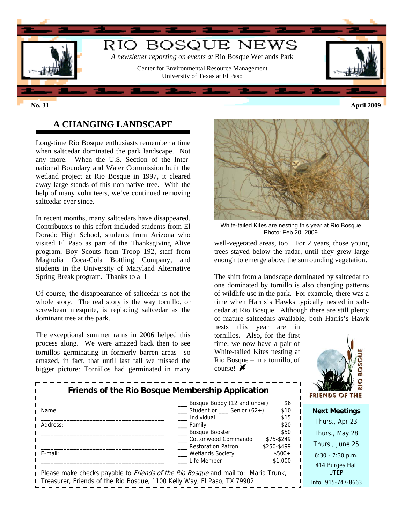

# **A CHANGING LANDSCAPE**

Long-time Rio Bosque enthusiasts remember a time when saltcedar dominated the park landscape. Not any more. When the U.S. Section of the International Boundary and Water Commission built the wetland project at Rio Bosque in 1997, it cleared away large stands of this non-native tree. With the help of many volunteers, we've continued removing saltcedar ever since.

In recent months, many saltcedars have disappeared. Contributors to this effort included students from El Dorado High School, students from Arizona who visited El Paso as part of the Thanksgiving Alive program, Boy Scouts from Troop 192, staff from Magnolia Coca-Cola Bottling Company, and students in the University of Maryland Alternative Spring Break program. Thanks to all!

Of course, the disappearance of saltcedar is not the whole story. The real story is the way tornillo, or screwbean mesquite, is replacing saltcedar as the dominant tree at the park.

The exceptional summer rains in 2006 helped this process along. We were amazed back then to see tornillos germinating in formerly barren areas—so amazed, in fact, that until last fall we missed the bigger picture: Tornillos had germinated in many



White-tailed Kites are nesting this year at Rio Bosque. Photo: Feb 20, 2009.

well-vegetated areas, too! For 2 years, those young trees stayed below the radar, until they grew large enough to emerge above the surrounding vegetation.

The shift from a landscape dominated by saltcedar to one dominated by tornillo is also changing patterns of wildlife use in the park. For example, there was a time when Harris's Hawks typically nested in saltcedar at Rio Bosque. Although there are still plenty of mature saltcedars available, both Harris's Hawk

nests this year are in tornillos. Also, for the first time, we now have a pair of White-tailed Kites nesting at Rio Bosque – in a tornillo, of course!  $\blacktriangleright$ 



| Friends of the Rio Bosque Membership Application                                         |                                                          |                        | $\mathcal{N}$<br><b>FRIENDS OF THE</b> |
|------------------------------------------------------------------------------------------|----------------------------------------------------------|------------------------|----------------------------------------|
| Name:                                                                                    | Bosque Buddy (12 and under)<br>Student or Senior $(62+)$ | \$6<br>\$10            |                                        |
|                                                                                          | Individual                                               | \$15                   | <b>Next Meetings</b><br>Thurs., Apr 23 |
| Address:                                                                                 | Family<br>Bosque Booster                                 | \$20<br>\$50           |                                        |
|                                                                                          | Cottonwood Commando                                      | \$75-\$249             | Thurs., May 28                         |
| E-mail:                                                                                  | <b>Restoration Patron</b><br>Wetlands Society            | \$250-\$499<br>$$500+$ | Thurs., June 25                        |
|                                                                                          | Life Member                                              | \$1,000                | $6:30 - 7:30$ p.m.                     |
| Please make checks payable to <i>Friends of the Rio Bosque</i> and mail to: Maria Trunk, |                                                          |                        | 414 Burges Hall<br><b>UTEP</b>         |
| Treasurer, Friends of the Rio Bosque, 1100 Kelly Way, El Paso, TX 79902.                 |                                                          |                        | Info: 915-747-8663                     |

**No. 31 April 2009**